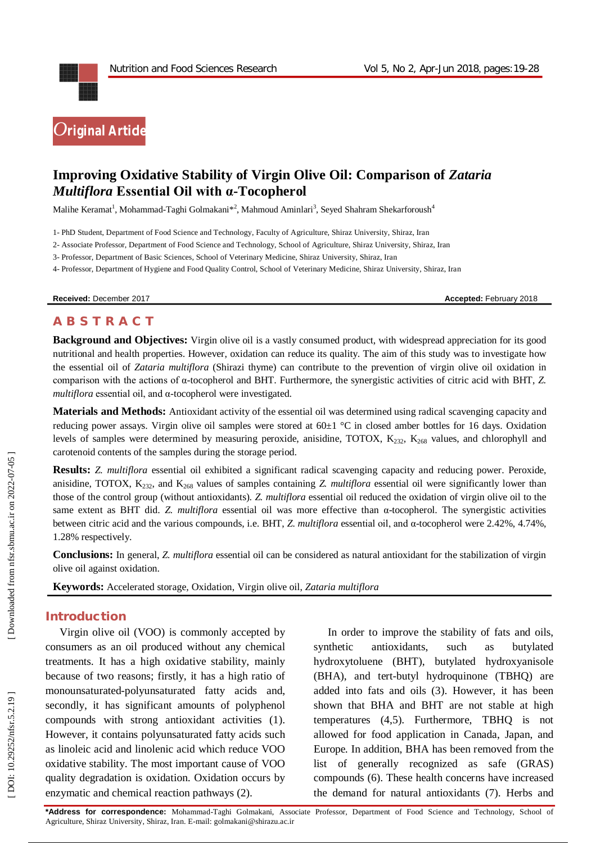

# **Improving Oxidative Stability of Virgin Olive Oil: Comparison of** *Zataria Multiflora* **Essential Oil with α-Tocopherol**

Malihe Keramat<sup>1</sup>, Mohammad-Taghi Golmakani\*<sup>2</sup>, Mahmoud Aminlari<sup>3</sup>, Seyed Shahram Shekarforoush<sup>4</sup>

1 - PhD Student, Department of Food Science and Technology, Faculty of Agriculture, Shiraz University, Shiraz, Iran

2 - Associate Professor, Department of Food Science and Technology, School of Agriculture, Shiraz University, Shiraz, Iran

3 - Professor, Department of Basic Sciences, School of Veterinary Medicine, Shiraz University, Shiraz, Iran

4 - Professor, Department of Hygiene and Food Quality Control, School of Veterinary Medicine, Shiraz University, Shiraz, Iran

**Received: December 2017 Accepted: February 2018** 

## **A B S T R A C T**

**Background and Objectives:** Virgin olive oil is a vastly consumed product, with widespread appreciation for its good nutritional and health properties. However, oxidation can reduce its quality. The aim of this study was to investigate how the essential oil of *Zataria multiflora* (Shirazi thyme) can contribute to the prevention of virgin olive oil oxidation in comparison with the actions of α -tocopherol and BHT. Furthermore, the synergistic activities of citric acid with BHT, *Z. multiflora* essential oil, and α -tocopherol were investigated.

**Materials and Methods:** Antioxidant activity of the essential oil was determined using radical scavenging capacity and reducing power assays. Virgin olive oil samples were stored at  $60\pm1$  °C in closed amber bottles for 16 days. Oxidation levels of samples were determined by measuring peroxide, anisidine, TOTOX, K<sub>232</sub>, K<sub>268</sub> values, and chlorophyll and carotenoid contents of the samples during the storage period.

**Results:** *Z. multiflora* essential oil exhibited a significant radical scavenging capacity and reducing power. Peroxide, anisidine, TOTOX, K232, and K<sup>268</sup> values of samples containing *Z. multiflora* essential oil were significantly lower than those of the control group (without antioxidants). *Z. multiflora* essential oil reduced the oxidation of virgin olive oil to the same extent as BHT did. *Z. multiflora* essential oil was more effective than α -tocopherol. The synergistic activities between citric acid and the various compounds, i.e. BHT, *Z. multiflora* essential oil, and α -tocopherol were 2.42%, 4.74%, 1.28% respectively.

**Conclusions:** In general, *Z. multiflora* essential oil can be considered as natural antioxidant for the stabilization of virgin olive oil against oxidation.

**Keywords:** Accelerated storage *,* Oxidation, Virgin olive oil, *Zataria multiflora*

#### **Introduction**

Virgin olive oil (VOO) is commonly accepted by consumers as an oil produced without any chemical treatments. It has a high oxidative stability, mainly because of two reasons; firstly, it has a high ratio of monounsaturated -polyunsaturated fatty acids and, secondly, it has significant amounts of polyphenol compounds with strong antioxidant activities (1). However, it contains polyunsaturated fatty acids such as linoleic acid and linolenic acid which reduce VOO oxidative stability. The most important cause of VOO quality degradation is oxidation. Oxidation occurs by enzymatic and chemical reaction pathways (2).

In order to improve the stability of fats and oils, synthetic antioxidants, such as butylated hydroxytoluene (BHT), butylated hydroxyanisole (BHA), and tert -butyl hydroquinone (TBHQ) are added into fats and oils (3). However, it has been shown that BHA and BHT are not stable at high temperatures (4,5). Furthermore, TBHQ is not allowed for food application in Canada, Japan, and Europe. In addition, BHA has been removed from the list of generally recognized as safe (GRAS) compounds ( 6). These health concerns have increased the demand for natural antioxidants ( 7). Herbs and

**\*Address for correspondence:** Mohammad -Taghi Golmakani, Associate Professor, Department of Food Science and Technology, School of Agriculture, Shiraz University, Shiraz, Iran. E -mail: golmakani@shirazu.ac.ir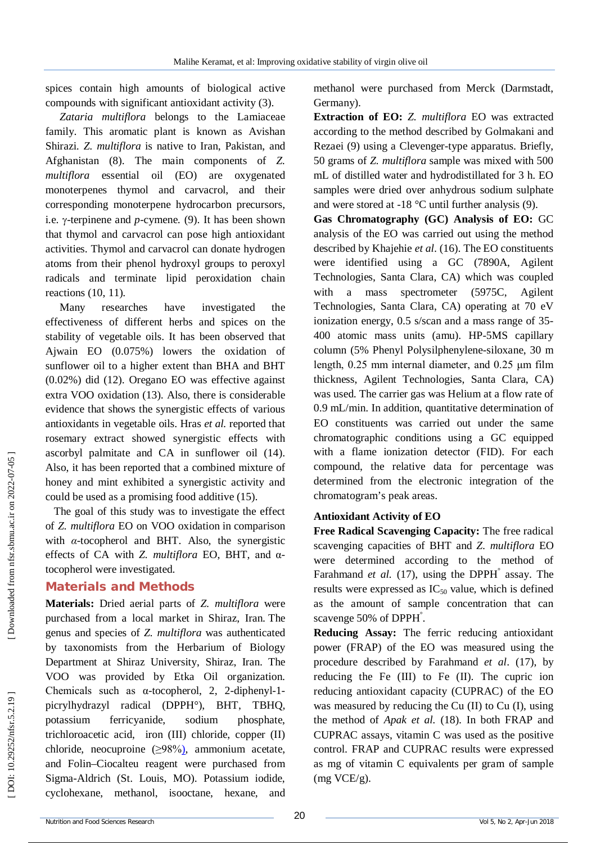spices contain high amounts of biological active compounds with significant antioxidant activity (3).

*Zataria multiflora* belongs to the Lamiaceae family. This aromatic plant is known as Avishan Shirazi. *Z. multiflora* is native to Iran, Pakistan, and Afghanistan (8). The main components of *Z. multiflora* essential oil (EO) are oxygenated monoterpenes thymol and carvacrol, and their corresponding monoterpene hydrocarbon precursors, i.e.  $\gamma$ -terpinene and  $p$ -cymene. (9). It has been shown that thymol and carvacrol can pose high antioxidant activities. Thymol and carvacrol can donate hydrogen atoms from their phenol hydroxyl groups to peroxyl radicals and terminate lipid peroxidation chain reactions (10, 11).

Many researches have investigated the effectiveness of different herbs and spices on the stability of vegetable oils. It has been observed that Ajwain EO (0.075%) lowers the oxidation of sunflower oil to a higher extent than BHA and BHT (0.02%) did (12). Oregano EO was effective against extra VOO oxidation (13). Also, there is considerable evidence that shows the synergistic effects of various antioxidants in vegetable oils. Hras *et al.* reported that rosemary extract showed synergistic effects with ascorbyl palmitate and CA in sunflower oil (14). Also, it has been reported that a combined mixture of honey and mint exhibited a synergistic activity and could be used as a promising food additive (15).

The goal of this study was to investigate the effect of *Z. multiflora* EO on VOO oxidation in comparison with *α* -tocopherol and BHT. Also, the synergistic effects of CA with *Z. multiflora* EO, BHT, and α tocopherol were investigated.

#### **Materials and Methods**

**Materials:** Dried aerial parts of *Z. multiflora* were purchased from a local market in Shiraz, Iran. The genus and species of *Z. multiflora* was authenticated by taxonomists from the Herbarium of Biology Department at Shiraz University, Shiraz, Iran. The VOO was provided by Etka Oil organization. Chemicals such as α -tocopherol, 2, 2 -diphenyl - 1 picrylhydrazyl radical (DPPH°), BHT, TBHQ, potassium ferricyanide, sodium phosphate, trichloroacetic acid, iron (III) chloride, copper (II) chloride, neocuproine (≥98% ) , ammonium acetate, and Folin–Ciocalteu reagent were purchased from Sigma -Aldrich (St. Louis, MO). Potassium iodide, cyclohexane, methanol, isooctane, hexane, and

methanol were purchased from Merck (Darmstadt, Germany).

**Extraction of EO:** *Z. multiflora* EO was extracted according to the method described by Golmakani and Rezaei (9) using a Clevenger -type apparatus. Briefly, 50 grams of *Z. multiflora* sample was mixed with 500 mL of distilled water and hydrodistillated for 3 h. EO samples were dried over anhydrous sodium sulphate and were stored at  $-18$  °C until further analysis (9).

**Gas Chromatography (GC) Analysis of EO:** GC analysis of the EO was carried out using the method described by Khajehie *et al*. (16). The EO constituents were identified using a GC (7890A, Agilent Technologies, Santa Clara, CA) which was coupled with a mass spectrometer (5975C, Agilent Technologies, Santa Clara, CA) operating at 70 eV ionization energy, 0.5 s/scan and a mass range of 35 - 400 atomic mass units (amu). HP -5MS capillary column (5% Phenyl Polysilphenylene -siloxane, 30 m length, 0.25 mm internal diameter, and 0.25 μm film thickness, Agilent Technologies, Santa Clara, CA) was used. The carrier gas was Helium at a flow rate of 0.9 mL/min. In addition, quantitative determination of EO constituents was carried out under the same chromatographic conditions using a GC equipped with a flame ionization detector (FID). For each compound, the relative data for percentage was determined from the electronic integration of the chromatogram's peak areas.

#### **Antioxidant Activity of EO**

**Free Radical Scavenging Capacity:** The free radical scavenging capacities of BHT and *Z. multiflora* EO were determined according to the method of Farahmand *et al.* (17), using the DPPH<sup>°</sup> assay. The results were expressed as  $IC_{50}$  value, which is defined as the amount of sample concentration that can scavenge 50% of DPPH.

**Reducing Assay:** The ferric reducing antioxidant power (FRAP) of the EO was measured using the procedure described by Farahmand *et al*. (17), by reducing the Fe (III) to Fe (II). The cupric ion reducing antioxidant capacity (CUPRAC) of the EO was measured by reducing the Cu (II) to Cu (I), using the method of *Apak et al.* (18). In both FRAP and CUPRAC assays, vitamin C was used as the positive control. FRAP and CUPRAC results were expressed as mg of vitamin C equivalents per gram of sample (mg VCE/g).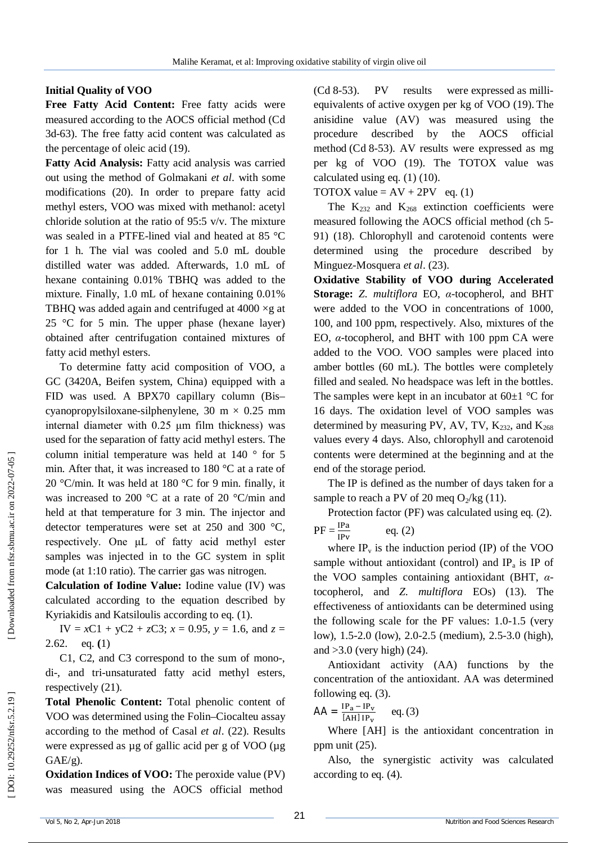### **Initial Quality of VOO**

**Free Fatty Acid Content:** Free fatty acids were measured according to the AOCS official method (Cd 3d -63 ). The free fatty acid content was calculated as the percentage of oleic acid (19).

**Fatty Acid Analysis:** Fatty acid analysis was carried out using the method of Golmakani *et al*. with some modifications (20). In order to prepare fatty acid methyl esters, VOO was mixed with methanol: acetyl chloride solution at the ratio of 95:5 v/v. The mixture was sealed in a PTFE -lined vial and heated at 85 °C for 1 h. The vial was cooled and 5.0 mL double distilled water was added. Afterwards, 1.0 mL of hexane containing 0.01% TBHQ was added to the mixture. Finally, 1.0 mL of hexane containing 0.01% TBHQ was added again and centrifuged at  $4000 \times g$  at 25  $\degree$ C for 5 min. The upper phase (hexane layer) obtained after centrifugation contained mixtures of fatty acid methyl esters.

To determine fatty acid composition of VOO, a GC (3420A, Beifen system, China) equipped with a FID was used. A BPX70 capillary column (Bis – cyanopropylsiloxane-silphenylene,  $30 \text{ m} \times 0.25 \text{ mm}$ internal diameter with 0.25 μm film thickness) was used for the separation of fatty acid methyl esters. The column initial temperature was held at 140 ° for 5 min. After that, it was increased to 180 °C at a rate of 20 °C/min. It was held at 180 °C for 9 min. finally, it was increased to 200 °C at a rate of 20 °C/min and held at that temperature for 3 min. The injector and detector temperatures were set at 250 and 300 °C, respectively. One μL of fatty acid methyl ester samples was injected in to the GC system in split mode (at 1:10 ratio). The carrier gas was nitrogen.

**Calculation of Iodine Value:** Iodine value (IV) was calculated according to the equation described by Kyriakidis and Katsiloulis according to eq. (1).

IV =  $xC1 + yC2 + zC3$ ;  $x = 0.95$ ,  $y = 1.6$ , and  $z =$ 2.62. eq. **(**1)

C1, C2, and C3 correspond to the sum of mono -, di -, and tri -unsaturated fatty acid methyl esters, respectively (21).

**Total Phenolic Content:** Total phenolic content of VOO was determined using the Folin–Ciocalteu assay according to the method of Casal *et al*. (22). Results were expressed as µg of gallic acid per g of VOO (µg GAE/g).

**Oxidation Indices of VOO:** The peroxide value (PV) was measured using the AOCS official method

(Cd 8 -53). PV results were expressed as milli equivalents of active oxygen per kg of VOO (19). The anisidine value (AV) was measured using the procedure described by the AOCS official method (Cd 8 -53). AV results were expressed as mg per kg of VOO (19). The TOTOX value was calculated using eq. (1) (10).

TOTOX value =  $AV + 2PV$  eq. (1)

The  $K_{232}$  and  $K_{268}$  extinction coefficients were measured following the AOCS official method (ch 5 - 91) (18). Chlorophyll and carotenoid contents were determined using the procedure described by Minguez -Mosquera *et al*. (23).

**Oxidative Stability of VOO during Accelerated Storage:** *Z. multiflora* EO, *α* -tocopherol, and BHT were added to the VOO in concentrations of 1000, 100, and 100 ppm, respectively. Also, mixtures of the EO, *α* -tocopherol, and BHT with 100 ppm CA were added to the VOO. VOO samples were placed into amber bottles (60 mL). The bottles were completely filled and sealed. No headspace was left in the bottles. The samples were kept in an incubator at  $60\pm1$  °C for 16 days. The oxidation level of VOO samples was determined by measuring PV, AV, TV,  $K_{232}$ , and  $K_{268}$ values every 4 days. Also, chlorophyll and carotenoid contents were determined at the beginning and at the end of the storage period.

The IP is defined as the number of days taken for a sample to reach a PV of 20 meq  $O_2$ /kg (11).

Protection factor (PF) was calculated using eq. (2).  $PF = \frac{IPa}{IPv}$ eq. (2)

where  $IP_v$  is the induction period (IP) of the VOO sample without antioxidant (control) and  $IP_a$  is IP of the VOO samples containing antioxidant (BHT, *α* tocopherol, and *Z. multiflora* EOs) (13). The effectiveness of antioxidants can be determined using the following scale for the PF values: 1.0 -1.5 (very low), 1.5 -2.0 (low), 2.0 -2.5 (medium), 2.5 -3.0 (high), and  $>3.0$  (very high) (24).

Antioxidant activity (AA) functions by the concentration of the antioxidant. AA was determined following eq. (3).

$$
AA = \frac{IP_a - IP_v}{[AH] IP_v} \qquad eq. (3)
$$

Where [AH] is the antioxidant concentration in ppm unit (25) .

Also, the synergistic activity was calculated according to eq. (4).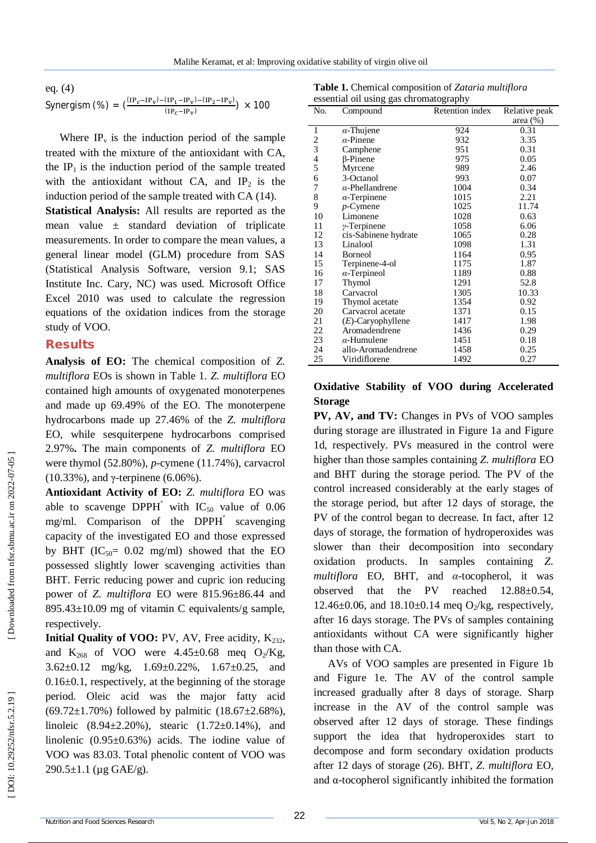eq. (4)

$$
Synerging (%) = (\frac{(IP_c-IP_v) - (IP_1-IP_v) - (IP_2-IP_v)}{(IP_c-IP_v)}) \times 100
$$

Where  $IP<sub>v</sub>$  is the induction period of the sample treated with the mixture of the antioxidant with CA, the  $IP_1$  is the induction period of the sample treated with the antioxidant without  $CA$ , and  $IP<sub>2</sub>$  is the induction period of the sample treated with CA (14).

**Statistical Analysis:** All results are reported as the mean value  $\pm$  standard deviation of triplicate measurements. In order to compare the mean values, a general linear model (GLM) procedure from SAS (Statistical Analysis Software, version 9.1; SAS Institute Inc. Cary, NC) was used. Microsoft Office Excel 2010 was used to calculate the regression equations of the oxidation indices from the storage study of VOO.

#### **Results**

**Analysis of EO:** The chemical composition of *Z. multiflora* EOs is shown in Table 1. *Z. multiflora* EO contained high amounts of oxygenated monoterpenes and made up 69.49% of the EO. The monoterpene hydrocarbons made up 27.46% of the *Z. multiflora* EO, while sesquiterpene hydrocarbons comprised 2.97% **.** The main components of *Z. multiflora* EO were thymol (52.80%), *p* -cymene (11.74%), carvacrol (10.33%), and γ -terpinene (6.06%).

**Antioxidant Activity of EO:** *Z. multiflora* EO was able to scavenge DPPH<sup> $\degree$ </sup> with IC<sub>50</sub> value of 0.06 mg/ml. Comparison of the DPPH ° scavenging capacity of the investigated EO and those expressed by BHT ( $IC_{50} = 0.02$  mg/ml) showed that the EO possessed slightly lower scavenging activities than BHT. Ferric reducing power and cupric ion reducing power of *Z. multiflora* EO were 815.96±86.44 and 895.43±10.09 mg of vitamin C equivalents/g sample, respectively.

**Initial Quality of VOO:** PV, AV, Free acidity, K<sub>232</sub>, and  $K_{268}$  of VOO were 4.45±0.68 meq O<sub>2</sub>/Kg, 3.62±0.12 mg/kg, 1.69±0.22%, 1.67±0.25, and  $0.16\pm0.1$ , respectively, at the beginning of the storage period. Oleic acid was the major fatty acid  $(69.72 \pm 1.70\%)$  followed by palmitic  $(18.67 \pm 2.68\%)$ , linoleic (8.94±2.20%), stearic (1.72±0.14%), and linolenic (0.95±0.63%) acids. The iodine value of VOO was 83.03. Total phenolic content of VOO was  $290.5 \pm 1.1$  (µg GAE/g).

**Table 1.** Chemical composition of *Zataria multiflora* essential oil using gas chromatography

| No. | Compound               | Retention index | Relative peak |
|-----|------------------------|-----------------|---------------|
|     |                        |                 | area $(\%)$   |
| 1   | $\alpha$ -Thujene      | 924             | 0.31          |
| 2   | $\alpha$ -Pinene       | 932             | 3.35          |
| 3   | Camphene               | 951             | 0.31          |
| 4   | β-Pinene               | 975             | 0.05          |
| 5   | Myrcene                | 989             | 2.46          |
| 6   | 3-Octanol              | 993             | 0.07          |
| 7   | $\alpha$ -Phellandrene | 1004            | 0.34          |
| 8   | $\alpha$ -Terpinene    | 1015            | 2.21          |
| 9   | $p$ -Cymene            | 1025            | 11.74         |
| 10  | Limonene               | 1028            | 0.63          |
| 11  | $\gamma$ -Terpinene    | 1058            | 6.06          |
| 12  | cis-Sabinene hydrate   | 1065            | 0.28          |
| 13  | Linalool               | 1098            | 1.31          |
| 14  | <b>Borneol</b>         | 1164            | 0.95          |
| 15  | Terpinene-4-ol         | 1175            | 1.87          |
| 16  | $\alpha$ -Terpineol    | 1189            | 0.88          |
| 17  | Thymol                 | 1291            | 52.8          |
| 18  | Carvacrol              | 1305            | 10.33         |
| 19  | Thymol acetate         | 1354            | 0.92          |
| 20  | Carvacrol acetate      | 1371            | 0.15          |
| 21  | $(E)$ -Caryophyllene   | 1417            | 1.98          |
| 22  | Aromadendrene          | 1436            | 0.29          |
| 23  | $\alpha$ -Humulene     | 1451            | 0.18          |
| 24  | allo-Aromadendrene     | 1458            | 0.25          |
| 25  | Viridiflorene          | 1492            | 0.27          |

#### **Oxidative Stability of VOO during Accelerated Storage**

**PV, AV, and TV:** Changes in PVs of VOO samples during storage are illustrated in Figure 1a and Figure 1d, respectively. PVs measured in the control were higher than those samples containing *Z. multiflora* EO and BHT during the storage period. The PV of the control increased considerably at the early stages of the storage period, but after 12 days of storage, the PV of the control began to decrease. In fact, after 12 days of storage, the formation of hydroperoxides was slower than their decomposition into secondary oxidation products. In samples containing *Z. multiflora* EO, BHT, and *α* -tocopherol, it was observed that the PV reached 12.88±0.54, 12.46 $\pm$ 0.06, and 18.10 $\pm$ 0.14 meq O<sub>2</sub>/kg, respectively, after 16 days storage. The PVs of samples containing antioxidants without CA were significantly higher than those with CA.

AVs of VOO samples are presented in Figure 1 b and Figure 1e. The AV of the control sample increased gradually after 8 days of storage. Sharp increase in the AV of the control sample was observed after 12 days of storage. These findings support the idea that hydroperoxides start to decompose and form secondary oxidation products after 12 days of storage (26). BHT, *Z. multiflora* EO, and α -tocopherol significantly inhibited the formation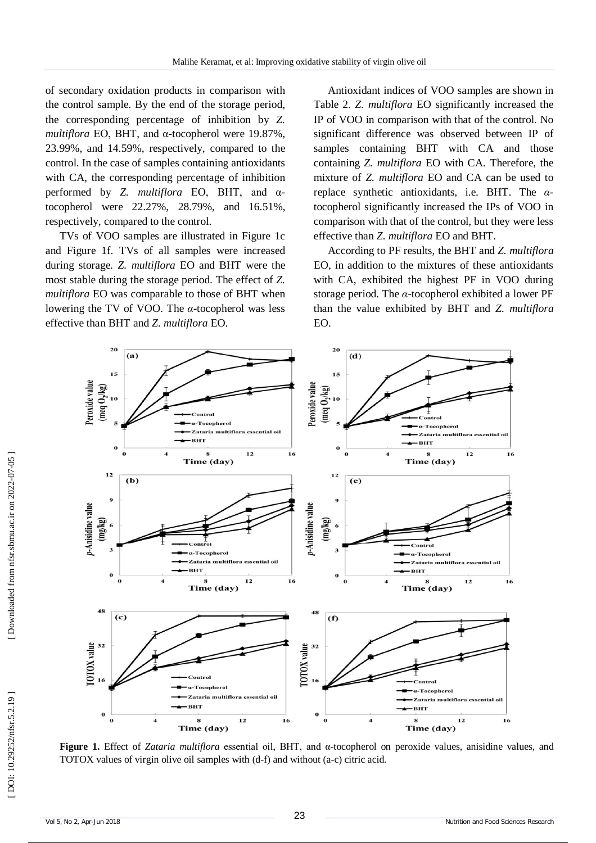of secondary oxidation products in comparison with the control sample. By the end of the storage period, the corresponding percentage of inhibition by *Z. multiflora* EO, BHT, and α -tocopherol were 19.87%, 23.99%, and 14.59%, respectively, compared to the control. In the case of samples containing antioxidants with CA, the corresponding percentage of inhibition performed by *Z. multiflora* EO, BHT, and αtocopherol were 22.27%, 28.79%, and 16.51%, respectively, compared to the control.

TVs of VOO samples are illustrated in Figure 1c and Figure 1f. TVs of all samples were increased during storage. *Z. multiflora* EO and BHT were the most stable during the storage period. The effect of *Z. multiflora* EO was comparable to those of BHT when lowering the TV of VOO. The *α* - tocopherol was less effective than BHT and *Z. multiflora* EO.

Antioxidant indices of VOO samples are shown in Table 2. *Z. multiflora* EO significantly increased the IP of VOO in comparison with that of the control. No significant difference was observed between IP of samples containing BHT with CA and those containing *Z. multiflora* EO with CA. Therefore, the mixture of *Z. multiflora* EO and CA can be used to replace synthetic antioxidants, i.e. BHT. The *α* tocopherol significantly increased the IPs of VOO in comparison with that of the control, but they were less effective than *Z. multiflora* EO and BHT.

According to PF results, the BHT and *Z. multiflora* EO, in addition to the mixtures of these antioxidants with CA, exhibited the highest PF in VOO during storage period. The *α* -tocopherol exhibited a lower PF than the value exhibited by BHT and *Z. multiflora* EO.



**Figure 1.** Effect of *Zataria multiflora* essential oil, BHT, and α -tocopherol on peroxide values, anisidine values, and TOTOX values of virgin olive oil samples with (d -f) and without (a -c) citric acid.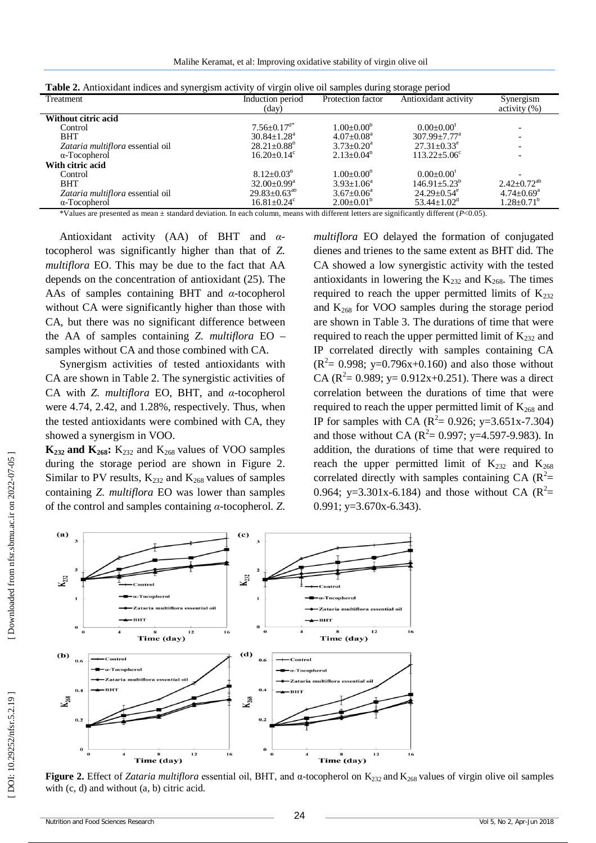Malihe Keramat, et al: Improving oxidative stability of virgin olive oil

| <b>Table 2.</b> Antioxidant marces and synergism activity of virgin onve on samples during storage period |                                       |                         |                               |                              |  |  |  |
|-----------------------------------------------------------------------------------------------------------|---------------------------------------|-------------------------|-------------------------------|------------------------------|--|--|--|
| Treatment                                                                                                 | Induction period<br>Protection factor |                         | Antioxidant activity          | Synergism                    |  |  |  |
|                                                                                                           | (day)                                 |                         |                               | $\arcsin(y_0)$               |  |  |  |
| Without citric acid                                                                                       |                                       |                         |                               |                              |  |  |  |
| Control                                                                                                   | $7.56 \pm 0.17$ <sup>d*</sup>         | $1.00+0.00^b$           | $0.00+0.00T$                  |                              |  |  |  |
| <b>BHT</b>                                                                                                | $30.84 \pm 1.28$ <sup>a</sup>         | $4.07+0.08^{\text{a}}$  | $307.99 + 7.77$ <sup>a</sup>  |                              |  |  |  |
| Zataria multiflora essential oil                                                                          | $28.21 \pm 0.88^{\circ}$              | $3.73 \pm 0.20^a$       | $27.31 \pm 0.33$ <sup>e</sup> |                              |  |  |  |
| $\alpha$ -Tocopherol                                                                                      | $16.20 + 0.14^c$                      | $2.13 \pm 0.04^{\circ}$ | $113.22 + 5.06^{\circ}$       |                              |  |  |  |
| With citric acid                                                                                          |                                       |                         |                               |                              |  |  |  |
| Control                                                                                                   | $8.12 \pm 0.03$ <sup>d</sup>          | $1.00+0.00^b$           | $0.00 \pm 0.00$ <sup>r</sup>  |                              |  |  |  |
| <b>BHT</b>                                                                                                | $32.00 \pm 0.99^{\text{a}}$           | $3.93 + 1.06^a$         | $146.91 + 5.23^{\circ}$       | $2.42 + 0.72^{ab}$           |  |  |  |
| Zataria multiflora essential oil                                                                          | $29.83 \pm 0.63^{ab}$                 | $3.67 + 0.06^a$         | $24.29 + 0.54^e$              | $4.74 \pm 0.69$ <sup>a</sup> |  |  |  |
| $\alpha$ -Tocopherol                                                                                      | $16.81 \pm 0.24$ <sup>c</sup>         | $2.00 \pm 0.01^{\circ}$ | $53.44 \pm 1.02^{\circ}$      | $1.28 \pm 0.71^{\circ}$      |  |  |  |
|                                                                                                           |                                       |                         |                               |                              |  |  |  |

| Table 2. Antioxidant indices and synergism activity of virgin olive oil samples during storage period |  |  |
|-------------------------------------------------------------------------------------------------------|--|--|
|                                                                                                       |  |  |
|                                                                                                       |  |  |

\*Values are presented as mean ± standard deviation. In each column, means with different letters are significantly different ( *P*<0.05).

Antioxidant activity (AA) of BHT and *α* tocopherol was significantly higher than that of *Z. multiflora* EO. This may be due to the fact that AA depends on the concentration of antioxidant (25). The AAs of samples containing BHT and *α* -tocopherol without CA were significantly higher than those with CA, but there was no significant difference between the AA of samples containing *Z. multiflora* EO – samples without CA and those combined with CA.

Synergism activities of tested antioxidants with CA are shown in Table 2. The synergistic activities of CA with *Z. multiflora* EO, BHT, and *α* -tocopherol were 4.74, 2.42, and 1.28%, respectively. Thus, when the tested antioxidants were combined with CA, they showed a synergism in VOO.

 $K_{232}$  and  $K_{268}$ :  $K_{232}$  and  $K_{268}$  values of VOO samples during the storage period are shown in Figure 2. Similar to PV results,  $K_{232}$  and  $K_{268}$  values of samples containing *Z. multiflora* EO was lower than samples of the control and samples containing *α* -tocopherol. *Z.*  *multiflora* EO delayed the formation of conjugated dienes and trienes to the same extent as BHT did. The CA showed a low synergistic activity with the tested antioxidants in lowering the  $K_{232}$  and  $K_{268}$ . The times required to reach the upper permitted limits of  $K_{232}$ and  $K_{268}$  for VOO samples during the storage period are shown in Table 3. The durations of time that were required to reach the upper permitted limit of  $K_{232}$  and IP correlated directly with samples containing CA  $(R^2 = 0.998; y=0.796x+0.160)$  and also those without CA ( $\mathbb{R}^2$  = 0.989; y = 0.912x+0.251). There was a direct correlation between the durations of time that were required to reach the upper permitted limit of  $K_{268}$  and IP for samples with CA ( $R^2 = 0.926$ ; y=3.651x-7.304) and those without CA ( $R^2 = 0.997$ ; y=4.597-9.983). In addition, the durations of time that were required to reach the upper permitted limit of  $K_{232}$  and  $K_{268}$ correlated directly with samples containing CA  $(R^2=$ 0.964; y=3.301x-6.184) and those without CA  $(R^2=$  $0.991$ ; y= $3.670x-6.343$ ).



Figure 2. Effect of *Zataria multiflora* essential oil, BHT, and α-tocopherol on K<sub>232</sub> and K<sub>268</sub> values of virgin olive oil samples with (c, d) and without (a, b) citric acid.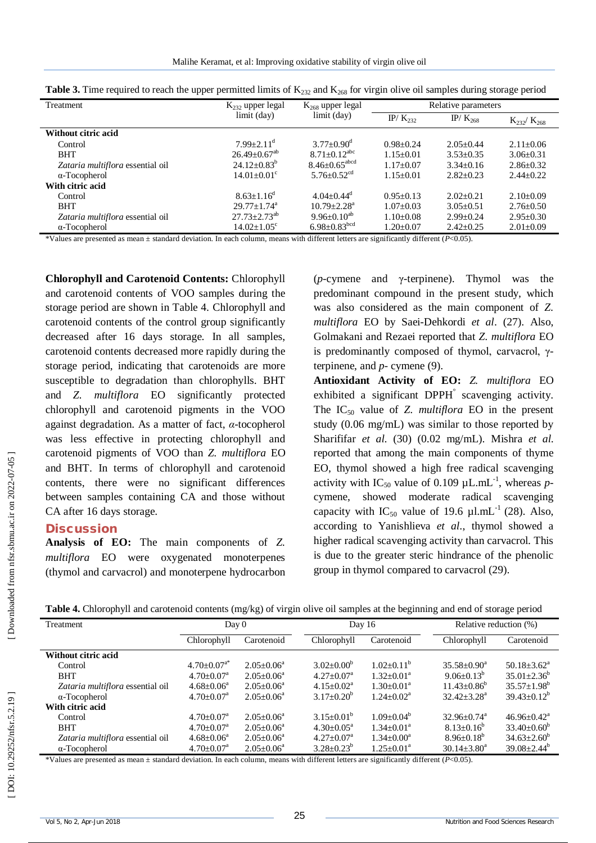| Treatment                        | $K_{232}$ upper legal          | $K_{268}$ upper legal                                                           | Relative parameters |                                             |                   |
|----------------------------------|--------------------------------|---------------------------------------------------------------------------------|---------------------|---------------------------------------------|-------------------|
|                                  | limit (day)                    | limit (day)                                                                     | IP/ $K_{232}$       | IP/ $K_{268}$                               | $K_{232}/K_{268}$ |
| Without citric acid              |                                |                                                                                 |                     |                                             |                   |
| Control                          | $7.99 + 2.11$ <sup>d</sup>     | $3.77 \pm 0.90$ <sup>d</sup>                                                    | $0.98 + 0.24$       | $2.05 \pm 0.44$                             | $2.11 \pm 0.06$   |
| <b>BHT</b>                       | $26.49 \pm 0.67$ <sup>ab</sup> | $8.71 \pm 0.12$ <sup>abc</sup>                                                  | $1.15 + 0.01$       | $3.53 \pm 0.35$                             | $3.06 \pm 0.31$   |
| Zataria multiflora essential oil | $24.12 \pm 0.83^b$             | $8.46 \pm 0.65^{\text{abcd}}$                                                   | $1.17 \pm 0.07$     | $3.34 + 0.16$                               | $2.86 \pm 0.32$   |
| $\alpha$ -Tocopherol             | $14.01 \pm 0.01$ <sup>c</sup>  | 5.76 $\pm$ 0.52 <sup>cd</sup>                                                   | $1.15 \pm 0.01$     | $2.82 \pm 0.23$                             | $2.44 \pm 0.22$   |
| With citric acid                 |                                |                                                                                 |                     |                                             |                   |
| Control                          | $8.63 \pm 1.16^{\mathrm{d}}$   | $4.04 + 0.44^d$                                                                 | $0.95 + 0.13$       | $2.02 \pm 0.21$                             | $2.10\pm0.09$     |
| <b>BHT</b>                       | $29.77 + 1.74$ <sup>a</sup>    | $10.79 + 2.28$ <sup>a</sup>                                                     | $1.07 + 0.03$       | $3.05 \pm 0.51$                             | $2.76 \pm 0.50$   |
| Zataria multiflora essential oil | $27.73 \pm 2.73$ <sup>ab</sup> | $9.96 \pm 0.10^{ab}$                                                            | $1.10+0.08$         | $2.99 + 0.24$                               | $2.95 \pm 0.30$   |
| $\alpha$ -Tocopherol             | $14.02 \pm 1.05$ <sup>c</sup>  | $6.98 \pm 0.83^{\mathrm{bcd}}$                                                  | $1.20 + 0.07$       | $2.42 \pm 0.25$                             | $2.01 \pm 0.09$   |
| 1.77777<br>.                     |                                | $\cdot$ $\cdot$ $\cdot$ $\cdot$ $\cdot$ $\cdot$ $\cdot$<br>$\sim$ $\sim$ $\sim$ |                     | $\cdot$ $\sqrt{D}$ $\wedge$ $\wedge$ $\sim$ |                   |

\*Values are presented as mean ± standard deviation. In each column, means with different letters are significantly different ( *P*<0.05).

**Chlorophyll and Carotenoid Contents:** Chlorophyll and carotenoid contents of VOO samples during the storage period are shown in Table 4. Chlorophyll and carotenoid contents of the control group significantly decreased after 16 days storage. In all samples, carotenoid contents decreased more rapidly during the storage period, indicating that carotenoids are more susceptible to degradation than chlorophylls. BHT and *Z. multiflora* EO significantly protected chlorophyll and carotenoid pigments in the VOO against degradation. As a matter of fact, *α* -tocopherol was less effective in protecting chlorophyll and carotenoid pigments of VOO than *Z. multiflora* EO and BHT. In terms of chlorophyll and carotenoid contents, there were no significant differences between samples containing CA and those without CA after 16 days storage.

#### **Discussion**

**Analysis of EO:** The main components of *Z. multiflora* EO were oxygenated monoterpenes (thymol and carvacrol) and monoterpene hydrocarbon

(*p* -cymene and γ -terpinene). Thymol was the predominant compound in the present study, which was also considered as the main component of *Z. multiflora* EO by Saei -Dehkordi *et al*. (27). Also, Golmakani and Rezaei reported that *Z. multiflora* EO is predominantly composed of thymol, carvacrol, γ terpinene, and  $p$ - cymene  $(9)$ .

**Antioxidant Activity of EO:** *Z. multiflora* EO exhibited a significant DPPH<sup>°</sup> scavenging activity. The  $IC_{50}$  value of *Z. multiflora* EO in the present study (0.06 mg/mL) was similar to those reported by Sharififar *et al*. (30) (0.02 mg/mL). Mishra *et al*. reported that among the main components of thyme EO, thymol showed a high free radical scavenging activity with  $IC_{50}$  value of 0.109  $\mu L.mL^{-1}$ , whereas pcymene, showed moderate radical scavenging capacity with  $IC_{50}$  value of 19.6  $\mu$ l.mL<sup>-1</sup> (28). Also, according to Yanishlieva *et al*., thymol showed a higher radical scavenging activity than carvacrol. This is due to the greater steric hindrance of the phenolic group in thymol compared to carvacrol (29).

| Table 4. Chlorophyll and carotenoid contents (mg/kg) of virgin olive oil samples at the beginning and end of storage period |  |  |  |  |
|-----------------------------------------------------------------------------------------------------------------------------|--|--|--|--|
|-----------------------------------------------------------------------------------------------------------------------------|--|--|--|--|

| Treatment                        | Day 0                         |                         | Day 16                     |                            | Relative reduction (%)        |                             |
|----------------------------------|-------------------------------|-------------------------|----------------------------|----------------------------|-------------------------------|-----------------------------|
|                                  | Chlorophyll                   | Carotenoid              | Chlorophyll                | Carotenoid                 | Chlorophyll                   | Carotenoid                  |
| Without citric acid              |                               |                         |                            |                            |                               |                             |
| Control                          | $4.70 \pm 0.07$ <sup>a*</sup> | $2.05 \pm 0.06^{\circ}$ | $3.02 \pm 0.00^b$          | $1.02 \pm 0.11^b$          | $35.58 \pm 0.90^{\mathrm{a}}$ | $50.18 \pm 3.62^{\text{a}}$ |
| <b>BHT</b>                       | $4.70+0.07a$                  | $2.05 + 0.06^a$         | $4.27+0.07a$               | $1.32 \pm 0.01^a$          | $9.06 \pm 0.13^b$             | $35.01 \pm 2.36^{\circ}$    |
| Zataria multiflora essential oil | $4.68 \pm 0.06^{\circ}$       | $2.05 + 0.06^a$         | $4.15 \pm 0.02^{\text{a}}$ | $1.30 + 0.01^a$            | $11.43 + 0.86^b$              | $35.57 + 1.98^b$            |
| $\alpha$ -Tocopherol             | $4.70 \pm 0.07$ <sup>a</sup>  | $2.05+0.06^a$           | $3.17 + 0.20^b$            | $1.24 + 0.02^a$            | $32.42 \pm 3.28^a$            | $39.43 \pm 0.12^b$          |
| With citric acid                 |                               |                         |                            |                            |                               |                             |
| Control                          | $4.70 \pm 0.07$ <sup>a</sup>  | $2.05 + 0.06^a$         | $3.15 \pm 0.01^b$          | $1.09 \pm 0.04^b$          | $32.96 \pm 0.74$ <sup>a</sup> | $46.96 \pm 0.42^{\text{a}}$ |
| <b>BHT</b>                       | $4.70 \pm 0.07$ <sup>a</sup>  | $2.05 \pm 0.06^{\circ}$ | $4.30 \pm 0.05^{\text{a}}$ | $1.34 + 0.01a$             | $8.13 \pm 0.16^{\circ}$       | $33.40 \pm 0.60^b$          |
| Zataria multiflora essential oil | $4.68 \pm 0.06^{\circ}$       | $2.05 \pm 0.06^{\circ}$ | $4.27 \pm 0.07^{\text{a}}$ | $1.34 + 0.00^a$            | $8.96 \pm 0.18^{\circ}$       | $34.63 \pm 2.60^b$          |
| $\alpha$ -Tocopherol             | $4.70 \pm 0.07$ <sup>a</sup>  | $2.05 \pm 0.06^{\circ}$ | $3.28 \pm 0.23^b$          | $1.25 \pm 0.01^{\text{a}}$ | $30.14 \pm 3.80^a$            | $39.08 \pm 2.44^b$          |

\*Values are presented as mean ± standard deviation. In each column, means with different letters are significantly different ( *P*<0.05).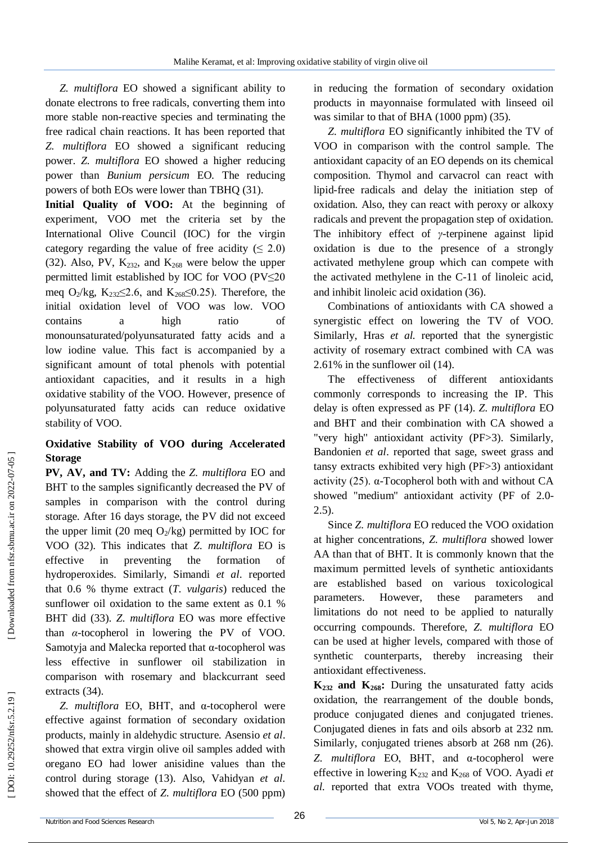*Z. multiflora* EO showed a significant ability to donate electrons to free radicals, converting them into more stable non -reactive species and terminating the free radical chain reactions. It has been reported that *Z. multiflora* EO showed a significant reducing power. *Z. multiflora* EO showed a higher reducing power than *Bunium persicum* EO *.* The reducing powers of both EOs were lower than TBHQ (31).

**Initial Quality of VOO:** At the beginning of experiment, VOO met the criteria set by the International Olive Council (IOC) for the virgin category regarding the value of free acidity  $( \leq 2.0)$ (32). Also, PV,  $K_{232}$ , and  $K_{268}$  were below the upper permitted limit established by IOC for VOO (PV≤20 meq O<sub>2</sub>/kg, K<sub>232</sub> $\leq$ 2.6, and K<sub>268</sub> $\leq$ 0.25). Therefore, the initial oxidation level of VOO was low. VOO contains a high ratio of monounsaturated/polyunsaturated fatty acids and a low iodine value. This fact is accompanied by a significant amount of total phenols with potential antioxidant capacities, and it results in a high oxidative stability of the VOO. However, presence of polyunsaturated fatty acids can reduce oxidative stability of VOO.

## **Oxidative Stability of VOO during Accelerated Storage**

**PV, AV, and TV:** Adding the *Z. multiflora* EO and BHT to the samples significantly decreased the PV of samples in comparison with the control during storage. After 16 days storage, the PV did not exceed the upper limit (20 meq  $O_2$ /kg) permitted by IOC for VOO (32). This indicates that *Z. multiflora* EO is effective in preventing the formation of hydroperoxides. Similarly, Simandi *et al*. reported that 0.6 % thyme extract (*T. vulgaris*) reduced the sunflower oil oxidation to the same extent as 0.1 % BHT did (33). *Z. multiflora* EO was more effective than *α* -tocopherol in lowering the PV of VOO. Samotyja and Malecka reported that α -tocopherol was less effective in sunflower oil stabilization in comparison with rosemary and blackcurrant seed extracts (34) .

*Z. multiflora* EO, BHT, and α -tocopherol were effective against formation of secondary oxidation products, mainly in aldehydic structure. Asensio *et al*. showed that extra virgin olive oil samples added with oregano EO had lower anisidine values than the control during storage (13). Also, Vahidyan *et al.* showed that the effect of *Z. multiflora* EO (500 ppm)

in reducing the formation of secondary oxidation products in mayonnaise formulated with linseed oil was similar to that of BHA (1000 ppm) (35).

*Z. multiflora* EO significantly inhibited the TV of VOO in comparison with the control sample. The antioxidant capacity of an EO depends on its chemical composition. Thymol and carvacrol can react with lipid -free radicals and delay the initiation step of oxidation. Also, they can react with peroxy or alkoxy radicals and prevent the propagation step of oxidation. The inhibitory effect of *γ* -terpinene against lipid oxidation is due to the presence of a strongly activated methylene group which can compete with the activated methylene in the C -11 of linoleic acid, and inhibit linoleic acid oxidation (36).

Combinations of antioxidants with CA showed a synergistic effect on lowering the TV of VOO. Similarly, Hras *et al.* reported that the synergistic activity of rosemary extract combined with CA was 2.61% in the sunflower oil (14).

The effectiveness of different antioxidants commonly corresponds to increasing the IP. This delay is often expressed as PF (14). *Z. multiflora* EO and BHT and their combination with CA showed a "very high'' antioxidant activity (PF>3). Similarly, Bandonien *et al*. reported that sage, sweet grass and tansy extracts exhibited very high (PF>3) antioxidant activity (25). α -Tocopherol both with and without CA showed "medium'' antioxidant activity (PF of 2.0 - 2.5).

Since *Z. multiflora* EO reduced the VOO oxidation at higher concentrations, *Z. multiflora* showed lower AA than that of BHT. It is commonly known that the maximum permitted levels of synthetic antioxidants are established based on various toxicological parameters. However, these parameters and limitations do not need to be applied to naturally occurring compounds. Therefore, *Z. multiflora* EO can be used at higher levels, compared with those of synthetic counterparts, thereby increasing their antioxidant effectiveness.

 $K_{232}$  and  $K_{268}$ : During the unsaturated fatty acids oxidation, the rearrangement of the double bonds, produce conjugated dienes and conjugated trienes. Conjugated dienes in fats and oils absorb at 232 nm. Similarly, conjugated trienes absorb at 268 nm (26). *Z. multiflora* EO, BHT, and α -tocopherol were effective in lowering K<sup>232</sup> and K<sup>268</sup> of VOO. Ayadi *et al.* reported that extra VOOs treated with thyme,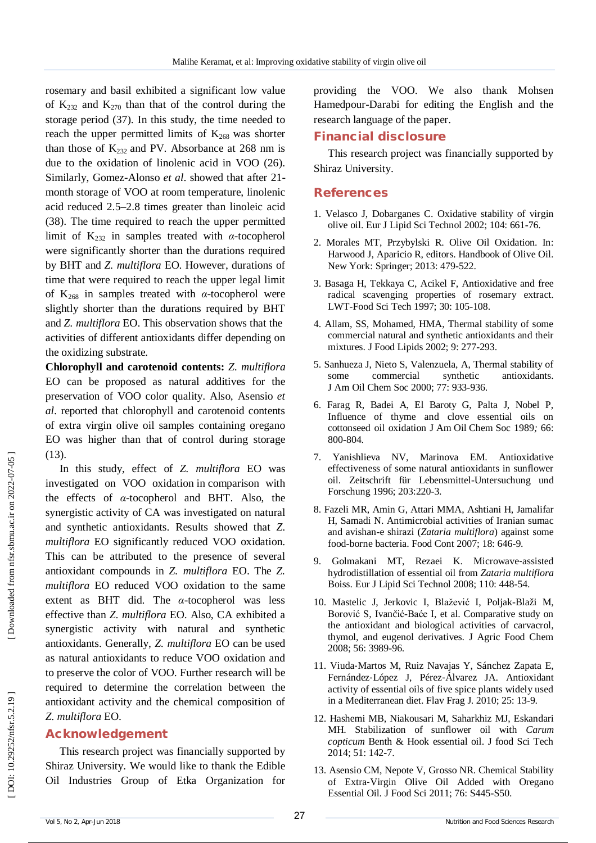rosemary and basil exhibited a significant low value of  $K_{232}$  and  $K_{270}$  than that of the control during the storage period (37). In this study, the time needed to reach the upper permitted limits of  $K_{268}$  was shorter than those of  $K_{232}$  and PV. Absorbance at 268 nm is due to the oxidation of linolenic acid in VOO (26). Similarly, Gomez-Alonso et al. showed that after 21month storage of VOO at room temperature, linolenic acid reduced 2.5 –2.8 times greater than linoleic acid (38). The time required to reach the upper permitted limit of  $K_{232}$  in samples treated with  $\alpha$ -tocopherol were significantly shorter than the durations required by BHT and *Z. multiflora* EO. However, durations of time that were required to reach the upper legal limit of  $K_{268}$  in samples treated with  $\alpha$ -tocopherol were slightly shorter than the durations required by BHT and *Z. multiflora* EO. This observation shows that the activities of different antioxidants differ depending on the oxidizing substrate.

**Chlorophyll and carotenoid contents:** *Z. multiflora* EO can be proposed as natural additives for the preservation of VOO color quality. Also, Asensio *et al*. reported that chlorophyll and carotenoid contents of extra virgin olive oil samples containing oregano EO was higher than that of control during storage (13).

In this study, effect of *Z. multiflora* EO was investigated on VOO oxidation in comparison with the effects of *α* -tocopherol and BHT. Also, the synergistic activity of CA was investigated on natural and synthetic antioxidants. Results showed that *Z. multiflora* EO significantly reduced VOO oxidation. This can be attributed to the presence of several antioxidant compounds in *Z. multiflora* EO. The *Z. multiflora* EO reduced VOO oxidation to the same extent as BHT did. The *α* -tocopherol was less effective than *Z. multiflora* EO. Also, CA exhibited a synergistic activity with natural and synthetic antioxidants. Generally, *Z. multiflora* EO can be used as natural antioxidants to reduce VOO oxidation and to preserve the color of VOO. Further research will be required to determine the correlation between the antioxidant activity and the chemical composition of *Z. multiflora* EO.

## **Acknowledgement**

This research project was financially supported by Shiraz University. We would like to thank the Edible Oil Industries Group of Etka Organization for providing the VOO. We also thank Mohsen Hamedpour -Darabi for editing the English and the research language of the paper.

#### **Financial disclosure**

This research project was financially supported by Shiraz University.

#### **References**

- 1. Velasco J, Dobarganes C. Oxidative stability of virgin olive oil. Eur J Lipid Sci Technol 2002; 104: 661 -76.
- 2. Morales MT, Przybylski R. Olive Oil Oxidation. In: Harwood J, Aparicio R, editors. Handbook of Olive Oil. New York: Springer; 2013: 479 -522.
- 3. Basaga H, Tekkaya C, Acikel F, Antioxidative and free radical scavenging properties of rosemary extract. LWT -Food Sci Tech 1997; 30: 105 -108.
- 4. Allam, SS, Mohamed, HMA, Thermal stability of some commercial natural and synthetic antioxidants and their mixtures. J Food Lipids 2002; 9: 277 -293.
- 5. Sanhueza J, Nieto S, Valenzuela, A, Thermal stability of some commercial synthetic antioxidants. J Am Oil Chem Soc 2000; 77: 933-936.
- 6. Farag R, Badei A, El Baroty G, Palta J, Nobel P, Influence of thyme and clove essential oils on cottonseed oil oxidation J Am Oil Chem Soc 1989*;* 66: 800 -804.
- 7. Yanishlieva NV, Marinova EM. Antioxidative effectiveness of some natural antioxidants in sunflower oil. Zeitschrift für Lebensmittel -Untersuchung und Forschung 1996; 203:220 -3.
- 8. Fazeli MR, Amin G, Attari MMA, Ashtiani H, Jamalifar H, Samadi N. Antimicrobial activities of Iranian sumac and avishan -e shirazi (*Zataria multiflora*) against some food -borne bacteria. Food Cont 2007; 18: 646 -9.
- 9. Golmakani MT, Rezaei K. Microwave ‐assisted hydrodistillation of essential oil from *Zataria multiflora* Boiss. Eur J Lipid Sci Technol 2008; 110 : 448 -54.
- 10. Mastelic J, Jerkovic I, Blažević I, Poljak -Blaži M, Borović S, Ivančić-Baće I, et al. Comparative study on the antioxidant and biological activities of carvacrol, thymol, and eugenol derivatives. J Agric Food Chem 2008; 56: 3989 -96.
- 11. Viuda ‐Martos M, Ruiz Navajas Y, Sánchez Zapata E, Fernández ‐López J, Pérez ‐Álvarez JA. Antioxidant activity of essential oils of five spice plants widely used in a Mediterranean diet. Flav Frag J. 2010; 25: 13 -9.
- 12. Hashemi MB, Niakousari M, Saharkhiz MJ, Eskandari MH. Stabilization of sunflower oil with *Carum copticum* Benth & Hook essential oil. J food Sci Tech 2014; 51: 142 -7.
- 13. Asensio CM, Nepote V, Grosso NR. Chemical Stability of Extra ‐Virgin Olive Oil Added with Oregano Essential Oil. J Food Sci 2011; 76: S445 -S50.